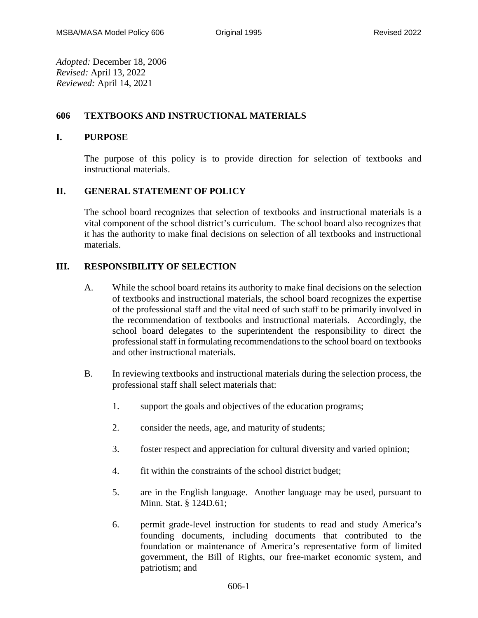*Adopted:* December 18, 2006 *Revised:* April 13, 2022 *Reviewed:* April 14, 2021

# **606 TEXTBOOKS AND INSTRUCTIONAL MATERIALS**

## **I. PURPOSE**

The purpose of this policy is to provide direction for selection of textbooks and instructional materials.

## **II. GENERAL STATEMENT OF POLICY**

The school board recognizes that selection of textbooks and instructional materials is a vital component of the school district's curriculum. The school board also recognizes that it has the authority to make final decisions on selection of all textbooks and instructional materials.

## **III. RESPONSIBILITY OF SELECTION**

- A. While the school board retains its authority to make final decisions on the selection of textbooks and instructional materials, the school board recognizes the expertise of the professional staff and the vital need of such staff to be primarily involved in the recommendation of textbooks and instructional materials. Accordingly, the school board delegates to the superintendent the responsibility to direct the professional staff in formulating recommendations to the school board on textbooks and other instructional materials.
- B. In reviewing textbooks and instructional materials during the selection process, the professional staff shall select materials that:
	- 1. support the goals and objectives of the education programs;
	- 2. consider the needs, age, and maturity of students;
	- 3. foster respect and appreciation for cultural diversity and varied opinion;
	- 4. fit within the constraints of the school district budget;
	- 5. are in the English language. Another language may be used, pursuant to Minn. Stat. § 124D.61;
	- 6. permit grade-level instruction for students to read and study America's founding documents, including documents that contributed to the foundation or maintenance of America's representative form of limited government, the Bill of Rights, our free-market economic system, and patriotism; and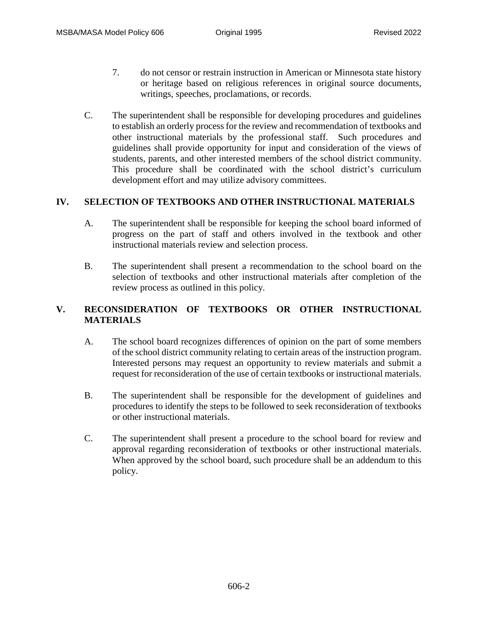- 7. do not censor or restrain instruction in American or Minnesota state history or heritage based on religious references in original source documents, writings, speeches, proclamations, or records.
- C. The superintendent shall be responsible for developing procedures and guidelines to establish an orderly process for the review and recommendation of textbooks and other instructional materials by the professional staff. Such procedures and guidelines shall provide opportunity for input and consideration of the views of students, parents, and other interested members of the school district community. This procedure shall be coordinated with the school district's curriculum development effort and may utilize advisory committees.

#### **IV. SELECTION OF TEXTBOOKS AND OTHER INSTRUCTIONAL MATERIALS**

- A. The superintendent shall be responsible for keeping the school board informed of progress on the part of staff and others involved in the textbook and other instructional materials review and selection process.
- B. The superintendent shall present a recommendation to the school board on the selection of textbooks and other instructional materials after completion of the review process as outlined in this policy.

## **V. RECONSIDERATION OF TEXTBOOKS OR OTHER INSTRUCTIONAL MATERIALS**

- A. The school board recognizes differences of opinion on the part of some members of the school district community relating to certain areas of the instruction program. Interested persons may request an opportunity to review materials and submit a request for reconsideration of the use of certain textbooks or instructional materials.
- B. The superintendent shall be responsible for the development of guidelines and procedures to identify the steps to be followed to seek reconsideration of textbooks or other instructional materials.
- C. The superintendent shall present a procedure to the school board for review and approval regarding reconsideration of textbooks or other instructional materials. When approved by the school board, such procedure shall be an addendum to this policy.